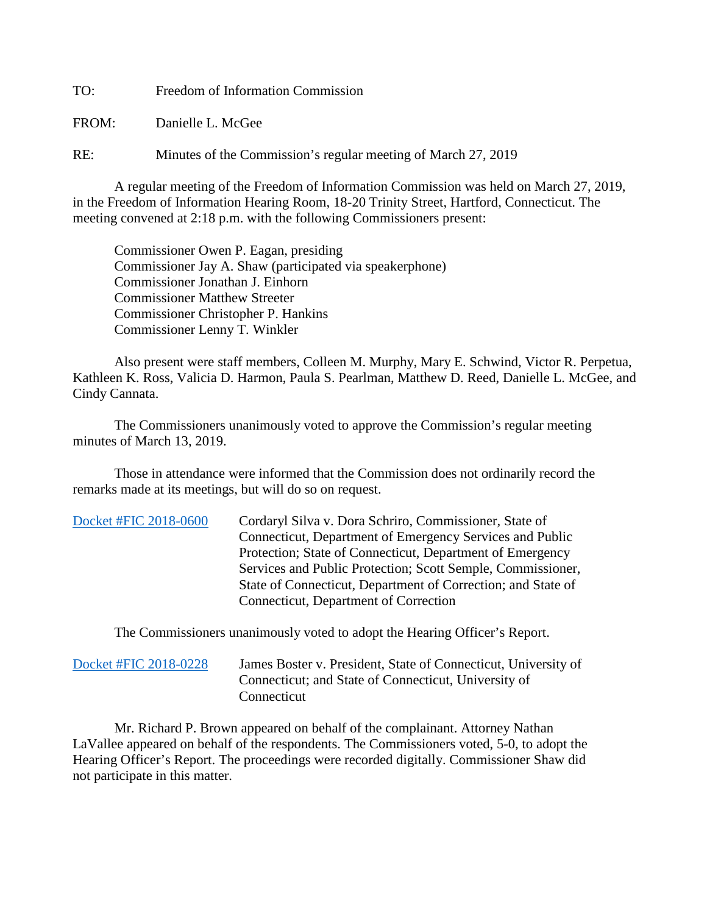TO: Freedom of Information Commission

FROM: Danielle L. McGee

RE: Minutes of the Commission's regular meeting of March 27, 2019

A regular meeting of the Freedom of Information Commission was held on March 27, 2019, in the Freedom of Information Hearing Room, 18-20 Trinity Street, Hartford, Connecticut. The meeting convened at 2:18 p.m. with the following Commissioners present:

 Commissioner Owen P. Eagan, presiding Commissioner Jay A. Shaw (participated via speakerphone) Commissioner Jonathan J. Einhorn Commissioner Matthew Streeter Commissioner Christopher P. Hankins Commissioner Lenny T. Winkler

 Also present were staff members, Colleen M. Murphy, Mary E. Schwind, Victor R. Perpetua, Kathleen K. Ross, Valicia D. Harmon, Paula S. Pearlman, Matthew D. Reed, Danielle L. McGee, and Cindy Cannata.

The Commissioners unanimously voted to approve the Commission's regular meeting minutes of March 13, 2019.

 Those in attendance were informed that the Commission does not ordinarily record the remarks made at its meetings, but will do so on request.

| Docket #FIC 2018-0600 | Cordaryl Silva v. Dora Schriro, Commissioner, State of       |
|-----------------------|--------------------------------------------------------------|
|                       | Connecticut, Department of Emergency Services and Public     |
|                       | Protection; State of Connecticut, Department of Emergency    |
|                       | Services and Public Protection; Scott Semple, Commissioner,  |
|                       | State of Connecticut, Department of Correction; and State of |
|                       | Connecticut, Department of Correction                        |
|                       |                                                              |

The Commissioners unanimously voted to adopt the Hearing Officer's Report.

| Docket #FIC 2018-0228 | James Boster v. President, State of Connecticut, University of |
|-----------------------|----------------------------------------------------------------|
|                       | Connecticut; and State of Connecticut, University of           |
|                       | Connecticut                                                    |

Mr. Richard P. Brown appeared on behalf of the complainant. Attorney Nathan LaVallee appeared on behalf of the respondents. The Commissioners voted, 5-0, to adopt the Hearing Officer's Report. The proceedings were recorded digitally. Commissioner Shaw did not participate in this matter.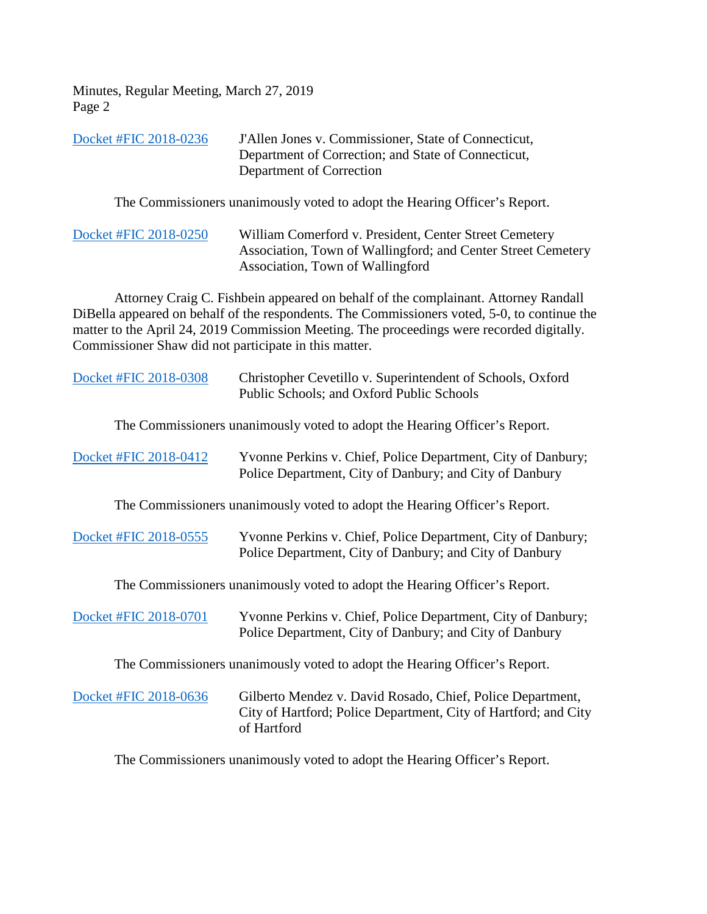Minutes, Regular Meeting, March 27, 2019 Page 2

| Docket #FIC 2018-0236 | J'Allen Jones v. Commissioner, State of Connecticut, |
|-----------------------|------------------------------------------------------|
|                       | Department of Correction; and State of Connecticut,  |
|                       | Department of Correction                             |

The Commissioners unanimously voted to adopt the Hearing Officer's Report.

[Docket #FIC 2018-0250](https://www.ct.gov/foi/lib/foi/minutes/2019/mar27/2018-0250.pdf) William Comerford v. President, Center Street Cemetery Association, Town of Wallingford; and Center Street Cemetery Association, Town of Wallingford

Attorney Craig C. Fishbein appeared on behalf of the complainant. Attorney Randall DiBella appeared on behalf of the respondents. The Commissioners voted, 5-0, to continue the matter to the April 24, 2019 Commission Meeting. The proceedings were recorded digitally. Commissioner Shaw did not participate in this matter.

| Docket #FIC 2018-0308 | Christopher Cevetillo v. Superintendent of Schools, Oxford<br>Public Schools; and Oxford Public Schools                                      |
|-----------------------|----------------------------------------------------------------------------------------------------------------------------------------------|
|                       | The Commissioners unanimously voted to adopt the Hearing Officer's Report.                                                                   |
| Docket #FIC 2018-0412 | Yvonne Perkins v. Chief, Police Department, City of Danbury;<br>Police Department, City of Danbury; and City of Danbury                      |
|                       | The Commissioners unanimously voted to adopt the Hearing Officer's Report.                                                                   |
| Docket #FIC 2018-0555 | Yvonne Perkins v. Chief, Police Department, City of Danbury;<br>Police Department, City of Danbury; and City of Danbury                      |
|                       | The Commissioners unanimously voted to adopt the Hearing Officer's Report.                                                                   |
| Docket #FIC 2018-0701 | Yvonne Perkins v. Chief, Police Department, City of Danbury;<br>Police Department, City of Danbury; and City of Danbury                      |
|                       | The Commissioners unanimously voted to adopt the Hearing Officer's Report.                                                                   |
| Docket #FIC 2018-0636 | Gilberto Mendez v. David Rosado, Chief, Police Department,<br>City of Hartford; Police Department, City of Hartford; and City<br>of Hartford |

The Commissioners unanimously voted to adopt the Hearing Officer's Report.